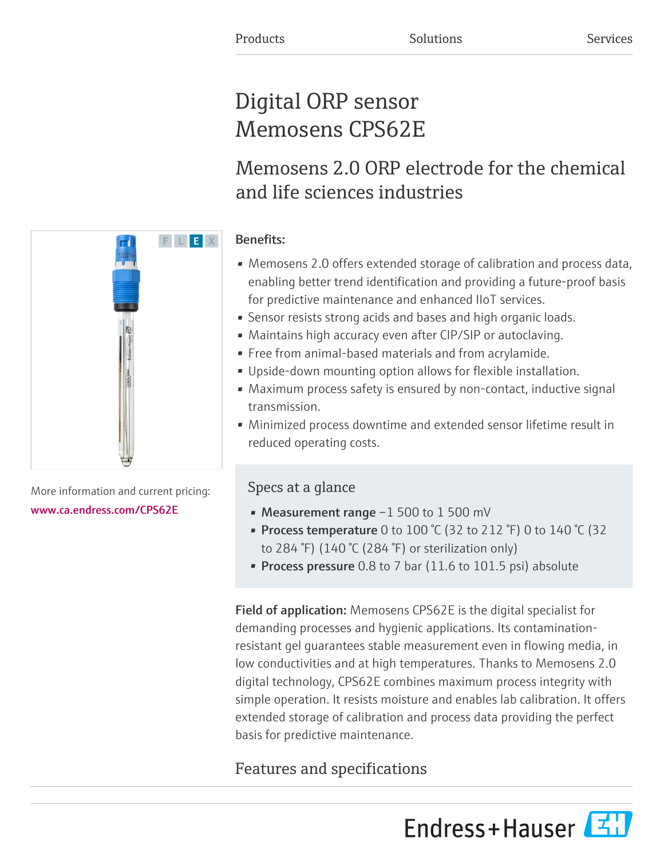# Digital ORP sensor Memosens CPS62E

# Memosens 2.0 ORP electrode for the chemical and life sciences industries

### Benefits:

- Memosens 2.0 offers extended storage of calibration and process data, enabling better trend identification and providing a future-proof basis for predictive maintenance and enhanced IIoT services.
- Sensor resists strong acids and bases and high organic loads.
- Maintains high accuracy even after CIP/SIP or autoclaving.
- Free from animal-based materials and from acrylamide.
- Upside-down mounting option allows for flexible installation.
- Maximum process safety is ensured by non-contact, inductive signal transmission.
- Minimized process downtime and extended sensor lifetime result in reduced operating costs.

### Specs at a glance

- Measurement range -1 500 to 1 500 mV
- Process temperature 0 to  $100\text{ °C}$  (32 to 212  $\text{ °F}$ ) 0 to 140  $\text{ °C}$  (32 to 284 °F) (140 °C (284 °F) or sterilization only)
- Process pressure 0.8 to 7 bar (11.6 to 101.5 psi) absolute

Field of application: Memosens CPS62E is the digital specialist for demanding processes and hygienic applications. Its contaminationresistant gel guarantees stable measurement even in flowing media, in low conductivities and at high temperatures. Thanks to Memosens 2.0 digital technology, CPS62E combines maximum process integrity with simple operation. It resists moisture and enables lab calibration. It offers extended storage of calibration and process data providing the perfect basis for predictive maintenance.

## Features and specifications





More information and current pricing: [www.ca.endress.com/CPS62E](https://www.ca.endress.com/CPS62E)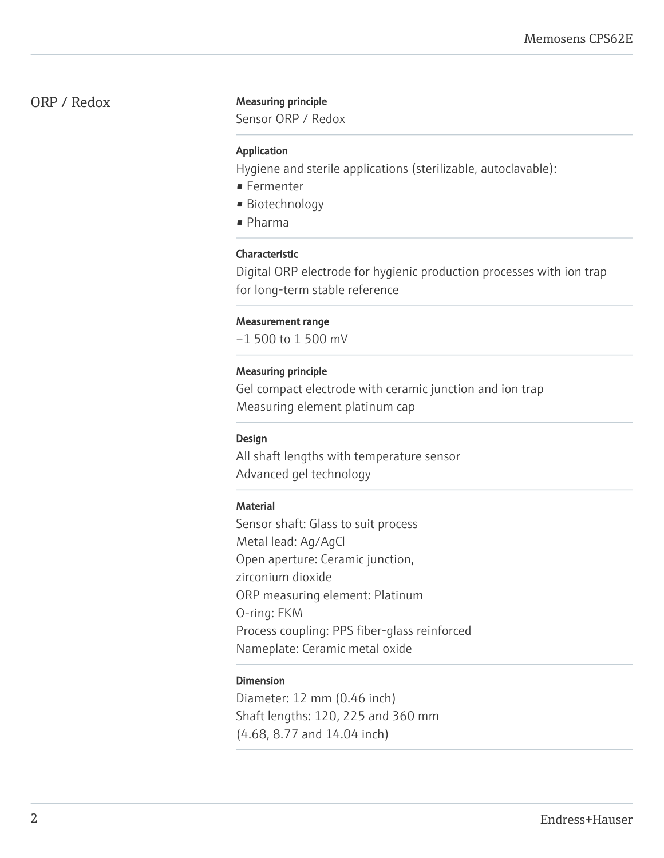#### ORP / Redox Measuring principle

Sensor ORP / Redox

#### Application

Hygiene and sterile applications (sterilizable, autoclavable):

- Fermenter
- Biotechnology
- Pharma

#### Characteristic

Digital ORP electrode for hygienic production processes with ion trap for long-term stable reference

#### Measurement range

–1 500 to 1 500 mV

#### Measuring principle

Gel compact electrode with ceramic junction and ion trap Measuring element platinum cap

#### Design

All shaft lengths with temperature sensor Advanced gel technology

#### **Material**

Sensor shaft: Glass to suit process Metal lead: Ag/AgCl Open aperture: Ceramic junction, zirconium dioxide ORP measuring element: Platinum O-ring: FKM Process coupling: PPS fiber-glass reinforced Nameplate: Ceramic metal oxide

#### Dimension

Diameter: 12 mm (0.46 inch) Shaft lengths: 120, 225 and 360 mm (4.68, 8.77 and 14.04 inch)